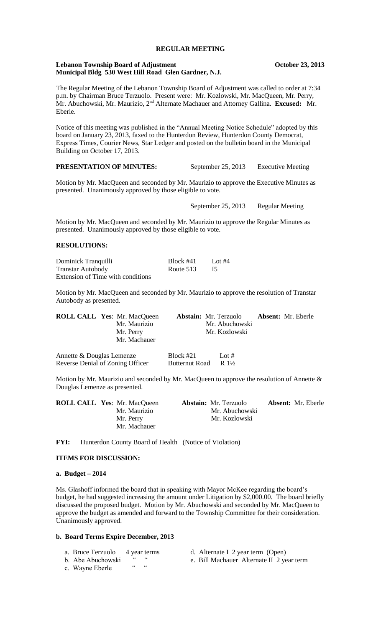# **REGULAR MEETING**

#### **Lebanon Township Board of Adjustment Constrainers** Cetober 23, 2013 **Municipal Bldg 530 West Hill Road Glen Gardner, N.J.**

The Regular Meeting of the Lebanon Township Board of Adjustment was called to order at 7:34 p.m. by Chairman Bruce Terzuolo. Present were: Mr. Kozlowski, Mr. MacQueen, Mr. Perry, Mr. Abuchowski, Mr. Maurizio, 2nd Alternate Machauer and Attorney Gallina. **Excused:** Mr. Eberle.

Notice of this meeting was published in the "Annual Meeting Notice Schedule" adopted by this board on January 23, 2013, faxed to the Hunterdon Review, Hunterdon County Democrat, Express Times, Courier News, Star Ledger and posted on the bulletin board in the Municipal Building on October 17, 2013.

**PRESENTATION OF MINUTES:** September 25, 2013 Executive Meeting

Motion by Mr. MacQueen and seconded by Mr. Maurizio to approve the Executive Minutes as presented. Unanimously approved by those eligible to vote.

September 25, 2013 Regular Meeting

Motion by Mr. MacQueen and seconded by Mr. Maurizio to approve the Regular Minutes as presented. Unanimously approved by those eligible to vote.

# **RESOLUTIONS:**

| Dominick Tranquilli               | Block #41 | Lot $#4$ |
|-----------------------------------|-----------|----------|
| <b>Transtar Autobody</b>          | Route 513 |          |
| Extension of Time with conditions |           |          |

Motion by Mr. MacQueen and seconded by Mr. Maurizio to approve the resolution of Transtar Autobody as presented.

| <b>ROLL CALL Yes: Mr. MacQueen</b><br>Mr. Maurizio<br>Mr. Perry<br>Mr. Machauer | <b>Abstain:</b> Mr. Terzuolo  | Mr. Abuchowski<br>Mr. Kozlowski | <b>Absent:</b> Mr. Eberle |
|---------------------------------------------------------------------------------|-------------------------------|---------------------------------|---------------------------|
| Annette & Douglas Lemenze<br>Reverse Denial of Zoning Officer                   | Block $#21$<br>Butternut Road | Lot #<br>$R1\frac{1}{2}$        |                           |

Motion by Mr. Maurizio and seconded by Mr. MacQueen to approve the resolution of Annette  $\&$ Douglas Lemenze as presented.

| <b>ROLL CALL Yes: Mr. MacQueen</b> | <b>Abstain:</b> Mr. Terzuolo | <b>Absent:</b> Mr. Eberle |
|------------------------------------|------------------------------|---------------------------|
| Mr. Maurizio                       | Mr. Abuchowski               |                           |
| Mr. Perry                          | Mr. Kozlowski                |                           |
| Mr. Machauer                       |                              |                           |

FYI: Hunterdon County Board of Health (Notice of Violation)

# **ITEMS FOR DISCUSSION:**

#### **a. Budget – 2014**

Ms. Glashoff informed the board that in speaking with Mayor McKee regarding the board's budget, he had suggested increasing the amount under Litigation by \$2,000.00. The board briefly discussed the proposed budget. Motion by Mr. Abuchowski and seconded by Mr. MacQueen to approve the budget as amended and forward to the Township Committee for their consideration. Unanimously approved.

#### **b. Board Terms Expire December, 2013**

- a. Bruce Terzuolo 4 year terms d. Alternate I 2 year term (Open)
	-
- 
- c. Wayne Eberle
- b. Abe Abuchowski " " e. Bill Machauer Alternate II 2 year term